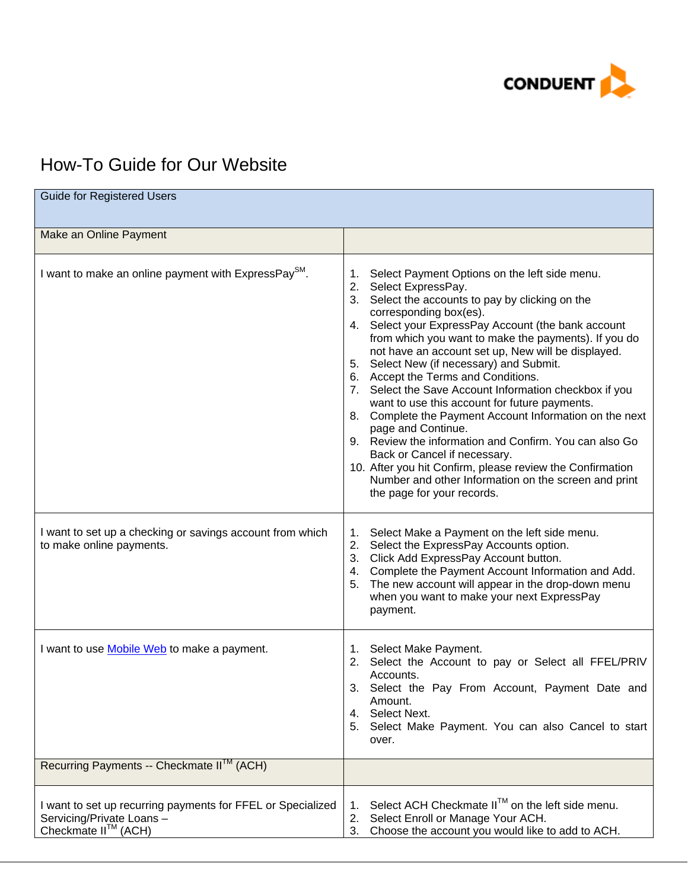

## How-To Guide for Our Website

| <b>Guide for Registered Users</b>                                                                                     |                                                                                                                                                                                                                                                                                                                                                                                                                                                                                                                                                                                                                                                                                                                                                                                                                                                                |
|-----------------------------------------------------------------------------------------------------------------------|----------------------------------------------------------------------------------------------------------------------------------------------------------------------------------------------------------------------------------------------------------------------------------------------------------------------------------------------------------------------------------------------------------------------------------------------------------------------------------------------------------------------------------------------------------------------------------------------------------------------------------------------------------------------------------------------------------------------------------------------------------------------------------------------------------------------------------------------------------------|
| Make an Online Payment                                                                                                |                                                                                                                                                                                                                                                                                                                                                                                                                                                                                                                                                                                                                                                                                                                                                                                                                                                                |
| I want to make an online payment with ExpressPay <sup>SM</sup> .                                                      | Select Payment Options on the left side menu.<br>1.<br>2. Select ExpressPay.<br>3. Select the accounts to pay by clicking on the<br>corresponding box(es).<br>4. Select your ExpressPay Account (the bank account<br>from which you want to make the payments). If you do<br>not have an account set up, New will be displayed.<br>Select New (if necessary) and Submit.<br>5.<br>6. Accept the Terms and Conditions.<br>7. Select the Save Account Information checkbox if you<br>want to use this account for future payments.<br>8. Complete the Payment Account Information on the next<br>page and Continue.<br>9. Review the information and Confirm. You can also Go<br>Back or Cancel if necessary.<br>10. After you hit Confirm, please review the Confirmation<br>Number and other Information on the screen and print<br>the page for your records. |
| I want to set up a checking or savings account from which<br>to make online payments.                                 | Select Make a Payment on the left side menu.<br>1.<br>2.<br>Select the ExpressPay Accounts option.<br>3. Click Add ExpressPay Account button.<br>4. Complete the Payment Account Information and Add.<br>The new account will appear in the drop-down menu<br>5.<br>when you want to make your next ExpressPay<br>payment.                                                                                                                                                                                                                                                                                                                                                                                                                                                                                                                                     |
| I want to use Mobile Web to make a payment.                                                                           | 1. Select Make Payment.<br>Select the Account to pay or Select all FFEL/PRIV<br>2.<br>Accounts.<br>Select the Pay From Account, Payment Date and<br>3.<br>Amount.<br>Select Next.<br>4.<br>Select Make Payment. You can also Cancel to start<br>5.<br>over.                                                                                                                                                                                                                                                                                                                                                                                                                                                                                                                                                                                                    |
| Recurring Payments -- Checkmate II <sup>™</sup> (ACH)                                                                 |                                                                                                                                                                                                                                                                                                                                                                                                                                                                                                                                                                                                                                                                                                                                                                                                                                                                |
| I want to set up recurring payments for FFEL or Specialized<br>Servicing/Private Loans -<br>Checkmate $II^{TM}$ (ACH) | Select ACH Checkmate II™ on the left side menu.<br>1.<br>Select Enroll or Manage Your ACH.<br>2.<br>Choose the account you would like to add to ACH.<br>3.                                                                                                                                                                                                                                                                                                                                                                                                                                                                                                                                                                                                                                                                                                     |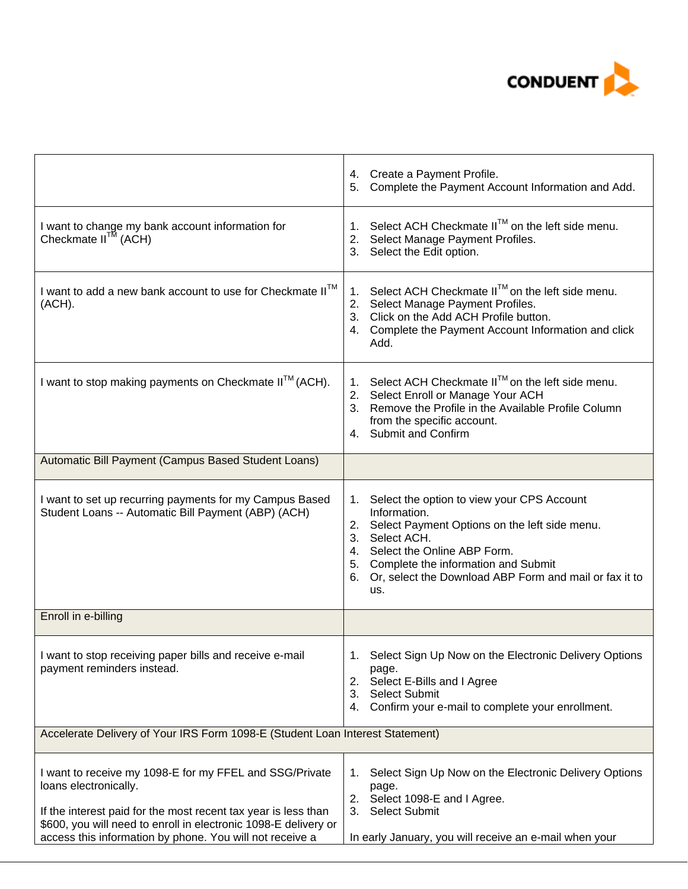

|                                                                                                                                                                                                                       | 4. Create a Payment Profile.<br>Complete the Payment Account Information and Add.<br>5.                                                                                                                                                                                                |  |
|-----------------------------------------------------------------------------------------------------------------------------------------------------------------------------------------------------------------------|----------------------------------------------------------------------------------------------------------------------------------------------------------------------------------------------------------------------------------------------------------------------------------------|--|
| I want to change my bank account information for<br>Checkmate $II^{TM}$ (ACH)                                                                                                                                         | Select ACH Checkmate II™ on the left side menu.<br>1.<br>2. Select Manage Payment Profiles.<br>3. Select the Edit option.                                                                                                                                                              |  |
| I want to add a new bank account to use for Checkmate II™<br>(ACH).                                                                                                                                                   | Select ACH Checkmate II™ on the left side menu.<br>1.<br>Select Manage Payment Profiles.<br>2.<br>3. Click on the Add ACH Profile button.<br>4. Complete the Payment Account Information and click<br>Add.                                                                             |  |
| I want to stop making payments on Checkmate II™ (ACH).                                                                                                                                                                | Select ACH Checkmate II™ on the left side menu.<br>1.<br>2. Select Enroll or Manage Your ACH<br>3. Remove the Profile in the Available Profile Column<br>from the specific account.<br>4. Submit and Confirm                                                                           |  |
| Automatic Bill Payment (Campus Based Student Loans)                                                                                                                                                                   |                                                                                                                                                                                                                                                                                        |  |
| I want to set up recurring payments for my Campus Based<br>Student Loans -- Automatic Bill Payment (ABP) (ACH)                                                                                                        | Select the option to view your CPS Account<br>1.<br>Information.<br>2. Select Payment Options on the left side menu.<br>3. Select ACH.<br>4. Select the Online ABP Form.<br>5. Complete the information and Submit<br>6. Or, select the Download ABP Form and mail or fax it to<br>us. |  |
| Enroll in e-billing                                                                                                                                                                                                   |                                                                                                                                                                                                                                                                                        |  |
| I want to stop receiving paper bills and receive e-mail<br>payment reminders instead.                                                                                                                                 | Select Sign Up Now on the Electronic Delivery Options<br>1.<br>page.<br>2.<br>Select E-Bills and I Agree<br><b>Select Submit</b><br>3.<br>Confirm your e-mail to complete your enrollment.<br>4.                                                                                       |  |
| Accelerate Delivery of Your IRS Form 1098-E (Student Loan Interest Statement)                                                                                                                                         |                                                                                                                                                                                                                                                                                        |  |
| I want to receive my 1098-E for my FFEL and SSG/Private<br>loans electronically.<br>If the interest paid for the most recent tax year is less than<br>\$600, you will need to enroll in electronic 1098-E delivery or | Select Sign Up Now on the Electronic Delivery Options<br>1.<br>page.<br>Select 1098-E and I Agree.<br>2.<br><b>Select Submit</b><br>3.                                                                                                                                                 |  |
| access this information by phone. You will not receive a                                                                                                                                                              | In early January, you will receive an e-mail when your                                                                                                                                                                                                                                 |  |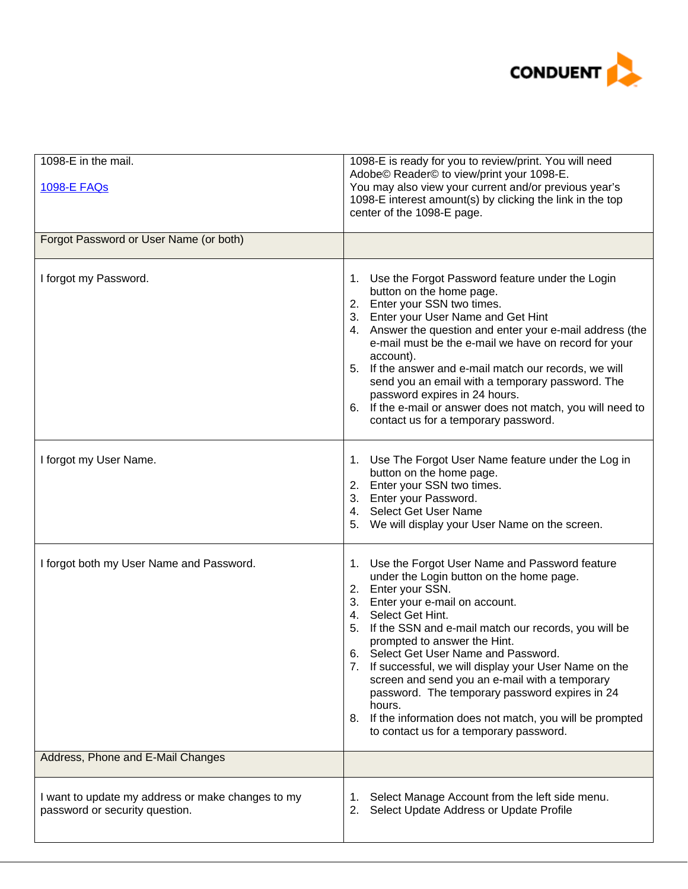

| 1098-E in the mail.<br><b>1098-E FAQs</b>                                           | 1098-E is ready for you to review/print. You will need<br>Adobe© Reader© to view/print your 1098-E.<br>You may also view your current and/or previous year's<br>1098-E interest amount(s) by clicking the link in the top<br>center of the 1098-E page.                                                                                                                                                                                                                                                                                                                                                   |
|-------------------------------------------------------------------------------------|-----------------------------------------------------------------------------------------------------------------------------------------------------------------------------------------------------------------------------------------------------------------------------------------------------------------------------------------------------------------------------------------------------------------------------------------------------------------------------------------------------------------------------------------------------------------------------------------------------------|
| Forgot Password or User Name (or both)                                              |                                                                                                                                                                                                                                                                                                                                                                                                                                                                                                                                                                                                           |
| I forgot my Password.                                                               | 1. Use the Forgot Password feature under the Login<br>button on the home page.<br>2. Enter your SSN two times.<br>3. Enter your User Name and Get Hint<br>4. Answer the question and enter your e-mail address (the<br>e-mail must be the e-mail we have on record for your<br>account).<br>5. If the answer and e-mail match our records, we will<br>send you an email with a temporary password. The<br>password expires in 24 hours.<br>6. If the e-mail or answer does not match, you will need to<br>contact us for a temporary password.                                                            |
| I forgot my User Name.                                                              | 1. Use The Forgot User Name feature under the Log in<br>button on the home page.<br>2. Enter your SSN two times.<br>3. Enter your Password.<br>4. Select Get User Name<br>We will display your User Name on the screen.<br>5.                                                                                                                                                                                                                                                                                                                                                                             |
| I forgot both my User Name and Password.                                            | Use the Forgot User Name and Password feature<br>1.<br>under the Login button on the home page.<br>2. Enter your SSN.<br>3. Enter your e-mail on account.<br>4. Select Get Hint.<br>5. If the SSN and e-mail match our records, you will be<br>prompted to answer the Hint.<br>Select Get User Name and Password.<br>ხ.<br>7. If successful, we will display your User Name on the<br>screen and send you an e-mail with a temporary<br>password. The temporary password expires in 24<br>hours.<br>8. If the information does not match, you will be prompted<br>to contact us for a temporary password. |
| Address, Phone and E-Mail Changes                                                   |                                                                                                                                                                                                                                                                                                                                                                                                                                                                                                                                                                                                           |
| I want to update my address or make changes to my<br>password or security question. | Select Manage Account from the left side menu.<br>1.<br>Select Update Address or Update Profile<br>2.                                                                                                                                                                                                                                                                                                                                                                                                                                                                                                     |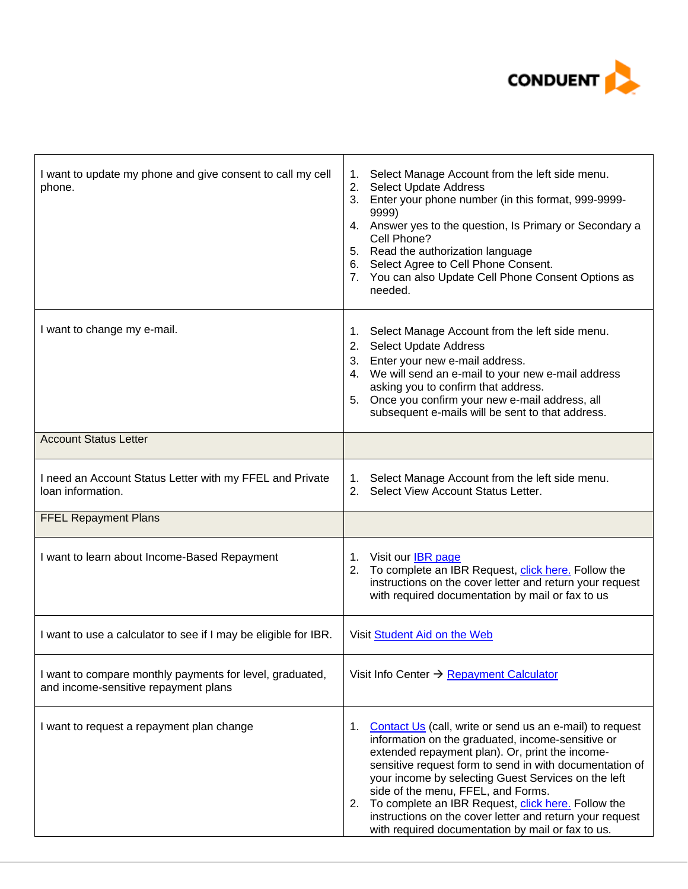

| I want to update my phone and give consent to call my cell<br>phone.                             | Select Manage Account from the left side menu.<br>1.<br>2. Select Update Address<br>3. Enter your phone number (in this format, 999-9999-<br>9999)<br>4. Answer yes to the question, Is Primary or Secondary a<br>Cell Phone?<br>5. Read the authorization language<br>6. Select Agree to Cell Phone Consent.<br>7. You can also Update Cell Phone Consent Options as<br>needed.                                                                                                                         |
|--------------------------------------------------------------------------------------------------|----------------------------------------------------------------------------------------------------------------------------------------------------------------------------------------------------------------------------------------------------------------------------------------------------------------------------------------------------------------------------------------------------------------------------------------------------------------------------------------------------------|
| I want to change my e-mail.                                                                      | Select Manage Account from the left side menu.<br>1.<br>2. Select Update Address<br>3. Enter your new e-mail address.<br>4. We will send an e-mail to your new e-mail address<br>asking you to confirm that address.<br>5. Once you confirm your new e-mail address, all<br>subsequent e-mails will be sent to that address.                                                                                                                                                                             |
| <b>Account Status Letter</b>                                                                     |                                                                                                                                                                                                                                                                                                                                                                                                                                                                                                          |
| I need an Account Status Letter with my FFEL and Private<br>loan information.                    | Select Manage Account from the left side menu.<br>1.<br>2. Select View Account Status Letter.                                                                                                                                                                                                                                                                                                                                                                                                            |
| <b>FFEL Repayment Plans</b>                                                                      |                                                                                                                                                                                                                                                                                                                                                                                                                                                                                                          |
| I want to learn about Income-Based Repayment                                                     | 1. Visit our <b>IBR</b> page<br>2. To complete an IBR Request, click here. Follow the<br>instructions on the cover letter and return your request<br>with required documentation by mail or fax to us                                                                                                                                                                                                                                                                                                    |
| I want to use a calculator to see if I may be eligible for IBR.                                  | Visit Student Aid on the Web                                                                                                                                                                                                                                                                                                                                                                                                                                                                             |
| I want to compare monthly payments for level, graduated,<br>and income-sensitive repayment plans | Visit Info Center $\rightarrow$ Repayment Calculator                                                                                                                                                                                                                                                                                                                                                                                                                                                     |
| I want to request a repayment plan change                                                        | Contact Us (call, write or send us an e-mail) to request<br>1.<br>information on the graduated, income-sensitive or<br>extended repayment plan). Or, print the income-<br>sensitive request form to send in with documentation of<br>your income by selecting Guest Services on the left<br>side of the menu, FFEL, and Forms.<br>2. To complete an IBR Request, click here. Follow the<br>instructions on the cover letter and return your request<br>with required documentation by mail or fax to us. |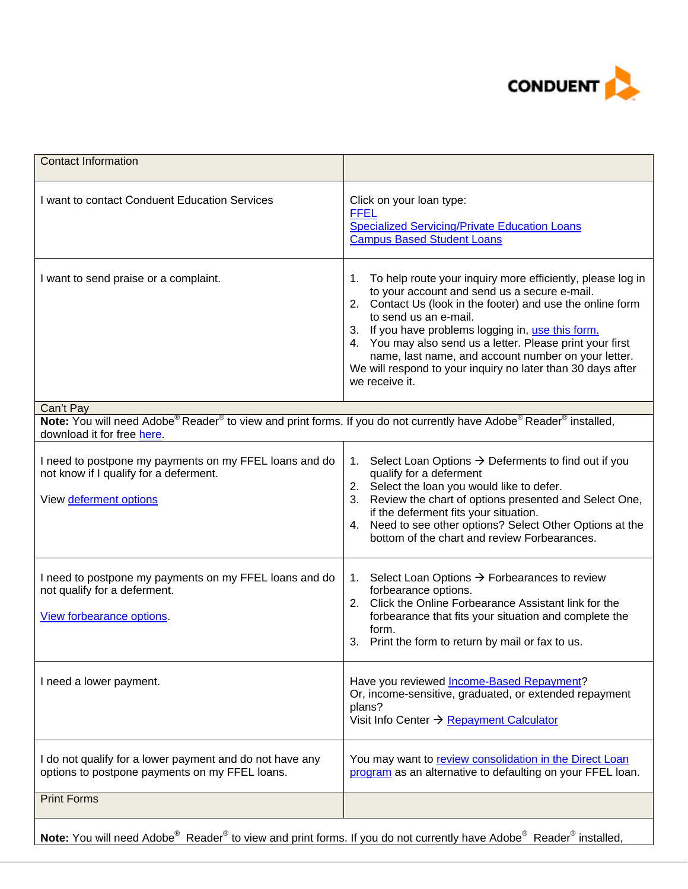

| <b>Contact Information</b>                                                                                                                                                                       |                                                                                                                                                                                                                                                                                                                                                                                                                                                                    |
|--------------------------------------------------------------------------------------------------------------------------------------------------------------------------------------------------|--------------------------------------------------------------------------------------------------------------------------------------------------------------------------------------------------------------------------------------------------------------------------------------------------------------------------------------------------------------------------------------------------------------------------------------------------------------------|
| I want to contact Conduent Education Services                                                                                                                                                    | Click on your loan type:<br><b>FFEL</b><br><b>Specialized Servicing/Private Education Loans</b><br><b>Campus Based Student Loans</b>                                                                                                                                                                                                                                                                                                                               |
| I want to send praise or a complaint.                                                                                                                                                            | To help route your inquiry more efficiently, please log in<br>1.<br>to your account and send us a secure e-mail.<br>2. Contact Us (look in the footer) and use the online form<br>to send us an e-mail.<br>3. If you have problems logging in, use this form.<br>4. You may also send us a letter. Please print your first<br>name, last name, and account number on your letter.<br>We will respond to your inquiry no later than 30 days after<br>we receive it. |
| Can't Pay                                                                                                                                                                                        |                                                                                                                                                                                                                                                                                                                                                                                                                                                                    |
| Note: You will need Adobe <sup>®</sup> Reader <sup>®</sup> to view and print forms. If you do not currently have Adobe <sup>®</sup> Reader <sup>®</sup> installed,<br>download it for free here. |                                                                                                                                                                                                                                                                                                                                                                                                                                                                    |
| I need to postpone my payments on my FFEL loans and do<br>not know if I qualify for a deferment.<br>View deferment options                                                                       | Select Loan Options $\rightarrow$ Deferments to find out if you<br>1.<br>qualify for a deferment<br>2. Select the loan you would like to defer.<br>3. Review the chart of options presented and Select One,<br>if the deferment fits your situation.<br>4. Need to see other options? Select Other Options at the<br>bottom of the chart and review Forbearances.                                                                                                  |
| I need to postpone my payments on my FFEL loans and do<br>not qualify for a deferment.<br>View forbearance options.                                                                              | 1. Select Loan Options $\rightarrow$ Forbearances to review<br>forbearance options.<br>2. Click the Online Forbearance Assistant link for the<br>forbearance that fits your situation and complete the<br>form.<br>3. Print the form to return by mail or fax to us.                                                                                                                                                                                               |
| I need a lower payment.                                                                                                                                                                          | Have you reviewed Income-Based Repayment?<br>Or, income-sensitive, graduated, or extended repayment<br>plans?<br>Visit Info Center → Repayment Calculator                                                                                                                                                                                                                                                                                                          |
| I do not qualify for a lower payment and do not have any<br>options to postpone payments on my FFEL loans.                                                                                       | You may want to review consolidation in the Direct Loan<br>program as an alternative to defaulting on your FFEL loan.                                                                                                                                                                                                                                                                                                                                              |
| <b>Print Forms</b>                                                                                                                                                                               |                                                                                                                                                                                                                                                                                                                                                                                                                                                                    |
| Note: You will need Adobe® Reader® to view and print forms. If you do not currently have Adobe® Reader® installed,                                                                               |                                                                                                                                                                                                                                                                                                                                                                                                                                                                    |